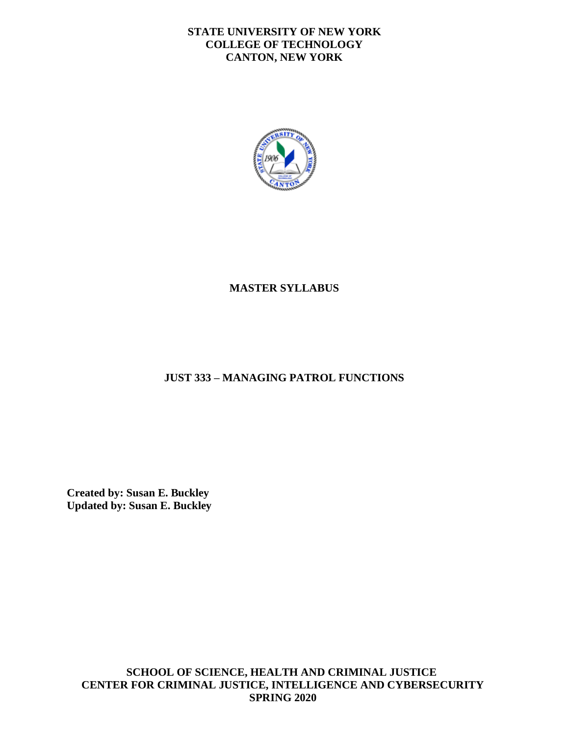### **STATE UNIVERSITY OF NEW YORK COLLEGE OF TECHNOLOGY CANTON, NEW YORK**



## **MASTER SYLLABUS**

## **JUST 333 – MANAGING PATROL FUNCTIONS**

**Created by: Susan E. Buckley Updated by: Susan E. Buckley** 

**SCHOOL OF SCIENCE, HEALTH AND CRIMINAL JUSTICE CENTER FOR CRIMINAL JUSTICE, INTELLIGENCE AND CYBERSECURITY SPRING 2020**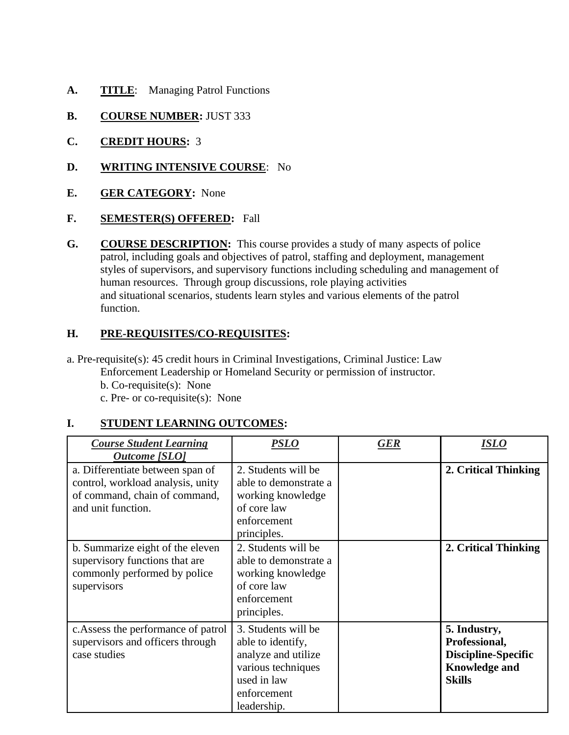- A. TITLE: Managing Patrol Functions
- **B.** COURSE NUMBER: JUST 333
- **C. CREDIT HOURS:** 3
- **D. WRITING INTENSIVE COURSE**: No
- **E. GER CATEGORY:** None
- **F. SEMESTER(S) OFFERED:** Fall
- human resources. Through group discussions, role playing activities **G.** COURSE DESCRIPTION: This course provides a study of many aspects of police patrol, including goals and objectives of patrol, staffing and deployment, management styles of supervisors, and supervisory functions including scheduling and management of and situational scenarios, students learn styles and various elements of the patrol function.

### **H. PRE-REQUISITES/CO-REQUISITES:**

 b. Co-requisite(s): None c. Pre- or co-requisite(s): None a. Pre-requisite(s): 45 credit hours in Criminal Investigations, Criminal Justice: Law Enforcement Leadership or Homeland Security or permission of instructor.

## **I. STUDENT LEARNING OUTCOMES:**

| <b>Course Student Learning</b><br><b>Outcome</b> [SLO]                                                                       | <i><b>PSLO</b></i>                                                                                                                 | <b>GER</b> | ISLO                                                                                                 |
|------------------------------------------------------------------------------------------------------------------------------|------------------------------------------------------------------------------------------------------------------------------------|------------|------------------------------------------------------------------------------------------------------|
| a. Differentiate between span of<br>control, workload analysis, unity<br>of command, chain of command,<br>and unit function. | 2. Students will be<br>able to demonstrate a<br>working knowledge<br>of core law<br>enforcement<br>principles.                     |            | 2. Critical Thinking                                                                                 |
| b. Summarize eight of the eleven<br>supervisory functions that are<br>commonly performed by police<br>supervisors            | 2. Students will be<br>able to demonstrate a<br>working knowledge<br>of core law<br>enforcement<br>principles.                     |            | 2. Critical Thinking                                                                                 |
| c. Assess the performance of patrol<br>supervisors and officers through<br>case studies                                      | 3. Students will be<br>able to identify,<br>analyze and utilize<br>various techniques<br>used in law<br>enforcement<br>leadership. |            | 5. Industry,<br>Professional,<br><b>Discipline-Specific</b><br><b>Knowledge and</b><br><b>Skills</b> |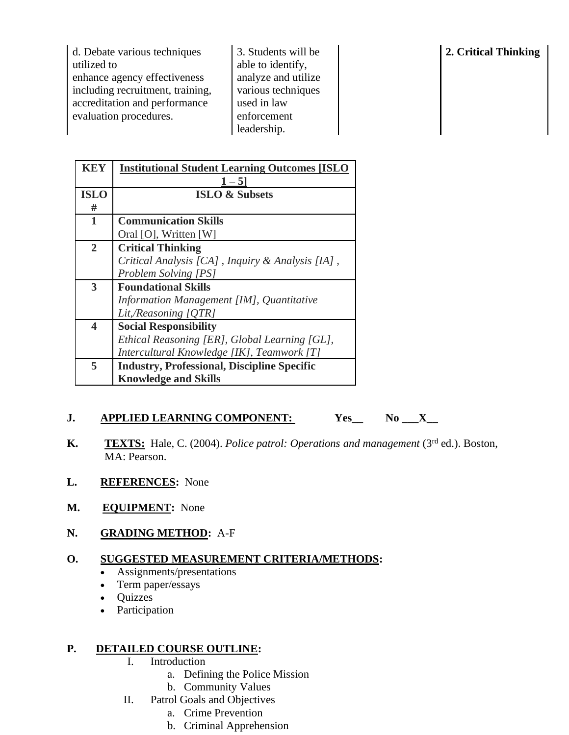| d. Debate various techniques     | 3. Students will be | 2. Critical Thinking |
|----------------------------------|---------------------|----------------------|
| utilized to                      | able to identify,   |                      |
| enhance agency effectiveness     | analyze and utilize |                      |
| including recruitment, training, | various techniques  |                      |
| accreditation and performance    | used in law         |                      |
| evaluation procedures.           | enforcement         |                      |
|                                  | leadership.         |                      |

| KEY          | <b>Institutional Student Learning Outcomes [ISLO</b> |  |  |
|--------------|------------------------------------------------------|--|--|
|              | $1 - 5$                                              |  |  |
| <b>ISLO</b>  | <b>ISLO &amp; Subsets</b>                            |  |  |
| #            |                                                      |  |  |
| $\mathbf{1}$ | <b>Communication Skills</b>                          |  |  |
|              | Oral [O], Written [W]                                |  |  |
| $\mathbf{2}$ | <b>Critical Thinking</b>                             |  |  |
|              | Critical Analysis [CA], Inquiry & Analysis [IA],     |  |  |
|              | <b>Problem Solving [PS]</b>                          |  |  |
| 3            | <b>Foundational Skills</b>                           |  |  |
|              | Information Management [IM], Quantitative            |  |  |
|              | Lit,/Reasoning [QTR]                                 |  |  |
| 4            | <b>Social Responsibility</b>                         |  |  |
|              | Ethical Reasoning [ER], Global Learning [GL],        |  |  |
|              | Intercultural Knowledge [IK], Teamwork [T]           |  |  |
| 5            | <b>Industry, Professional, Discipline Specific</b>   |  |  |
|              | <b>Knowledge and Skills</b>                          |  |  |

# **J.** APPLIED LEARNING COMPONENT: Yes\_ No \_\_X\_

- **K.** TEXTS: Hale, C. (2004). *Police patrol: Operations and management* (3<sup>rd</sup> ed.). Boston, MA: Pearson.
- **L. REFERENCES:** None
- **M. EQUIPMENT:** None
- **N. GRADING METHOD:** A-F

### **O. SUGGESTED MEASUREMENT CRITERIA/METHODS:**

- Assignments/presentations
- Term paper/essays
- Quizzes
- Participation

### **P. DETAILED COURSE OUTLINE:**

- I. Introduction
	- a. Defining the Police Mission
	- b. Community Values
- II. Patrol Goals and Objectives
	- a. Crime Prevention
	- b. Criminal Apprehension